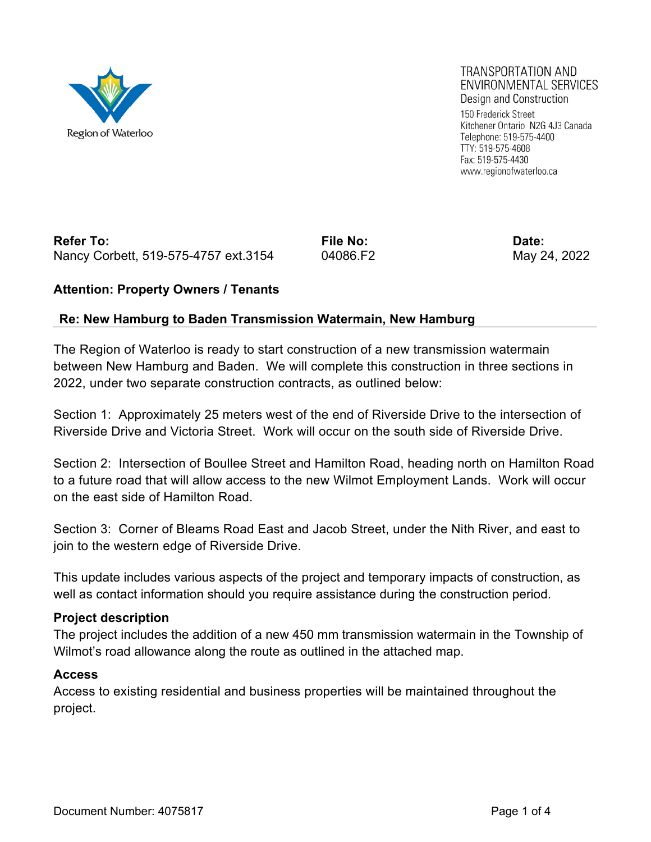

#### TRANSPORTATION AND ENVIRONMENTAL SERVICES Design and Construction

150 Frederick Street Kitchener Ontario N2G 4J3 Canada Telephone: 519-575-4400 TTY: 519-575-4608 Fax: 519-575-4430 www.regionofwaterloo.ca

## Refer To: **File No:** File No: **Date:** Pate: Nancy Corbett, 519-575-4757 ext.3154 04086.F2 May 24, 2022

### **Attention: Property Owners / Tenants**

### **Re: New Hamburg to Baden Transmission Watermain, New Hamburg**

The Region of Waterloo is ready to start construction of a new transmission watermain between New Hamburg and Baden. We will complete this construction in three sections in 2022, under two separate construction contracts, as outlined below:

Section 1: Approximately 25 meters west of the end of Riverside Drive to the intersection of Riverside Drive and Victoria Street. Work will occur on the south side of Riverside Drive.

Section 2: Intersection of Boullee Street and Hamilton Road, heading north on Hamilton Road to a future road that will allow access to the new Wilmot Employment Lands. Work will occur on the east side of Hamilton Road.

Section 3: Corner of Bleams Road East and Jacob Street, under the Nith River, and east to join to the western edge of Riverside Drive.

This update includes various aspects of the project and temporary impacts of construction, as well as contact information should you require assistance during the construction period.

#### **Project description**

The project includes the addition of a new 450 mm transmission watermain in the Township of Wilmot's road allowance along the route as outlined in the attached map.

#### **Access**

Access to existing residential and business properties will be maintained throughout the project.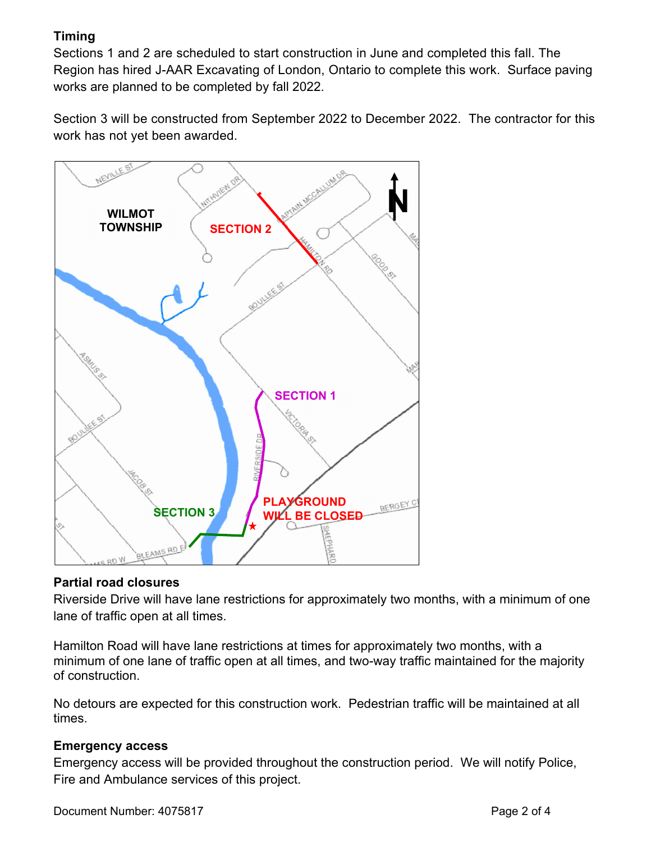# **Timing**

Sections 1 and 2 are scheduled to start construction in June and completed this fall. The Region has hired J-AAR Excavating of London, Ontario to complete this work. Surface paving works are planned to be completed by fall 2022.

Section 3 will be constructed from September 2022 to December 2022. The contractor for this work has not yet been awarded.



### **Partial road closures**

Riverside Drive will have lane restrictions for approximately two months, with a minimum of one lane of traffic open at all times.

Hamilton Road will have lane restrictions at times for approximately two months, with a minimum of one lane of traffic open at all times, and two-way traffic maintained for the majority of construction.

No detours are expected for this construction work. Pedestrian traffic will be maintained at all times.

### **Emergency access**

Emergency access will be provided throughout the construction period. We will notify Police, Fire and Ambulance services of this project.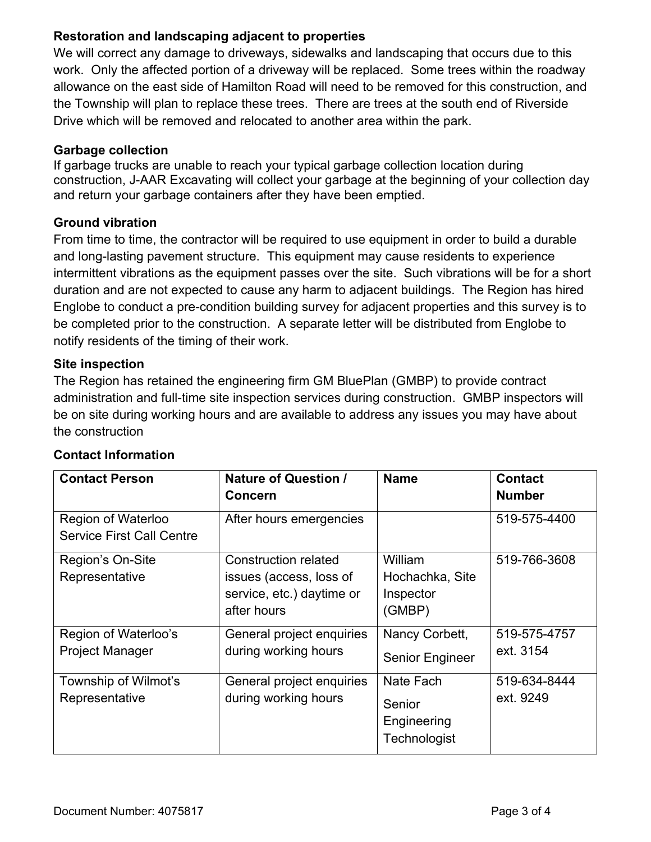# **Restoration and landscaping adjacent to properties**

We will correct any damage to driveways, sidewalks and landscaping that occurs due to this work. Only the affected portion of a driveway will be replaced. Some trees within the roadway allowance on the east side of Hamilton Road will need to be removed for this construction, and the Township will plan to replace these trees. There are trees at the south end of Riverside Drive which will be removed and relocated to another area within the park.

#### **Garbage collection**

If garbage trucks are unable to reach your typical garbage collection location during construction, J-AAR Excavating will collect your garbage at the beginning of your collection day and return your garbage containers after they have been emptied.

### **Ground vibration**

From time to time, the contractor will be required to use equipment in order to build a durable and long-lasting pavement structure. This equipment may cause residents to experience intermittent vibrations as the equipment passes over the site. Such vibrations will be for a short duration and are not expected to cause any harm to adjacent buildings. The Region has hired Englobe to conduct a pre-condition building survey for adjacent properties and this survey is to be completed prior to the construction. A separate letter will be distributed from Englobe to notify residents of the timing of their work.

### **Site inspection**

The Region has retained the engineering firm GM BluePlan (GMBP) to provide contract administration and full-time site inspection services during construction. GMBP inspectors will be on site during working hours and are available to address any issues you may have about the construction

| <b>Contact Person</b>                                  | <b>Nature of Question /</b><br><b>Concern</b>                                                      | <b>Name</b>                                        | <b>Contact</b><br><b>Number</b> |
|--------------------------------------------------------|----------------------------------------------------------------------------------------------------|----------------------------------------------------|---------------------------------|
| Region of Waterloo<br><b>Service First Call Centre</b> | After hours emergencies                                                                            |                                                    | 519-575-4400                    |
| Region's On-Site<br>Representative                     | <b>Construction related</b><br>issues (access, loss of<br>service, etc.) daytime or<br>after hours | William<br>Hochachka, Site<br>Inspector<br>(GMBP)  | 519-766-3608                    |
| Region of Waterloo's<br><b>Project Manager</b>         | General project enquiries<br>during working hours                                                  | Nancy Corbett,<br><b>Senior Engineer</b>           | 519-575-4757<br>ext. 3154       |
| Township of Wilmot's<br>Representative                 | General project enquiries<br>during working hours                                                  | Nate Fach<br>Senior<br>Engineering<br>Technologist | 519-634-8444<br>ext. 9249       |

# **Contact Information**